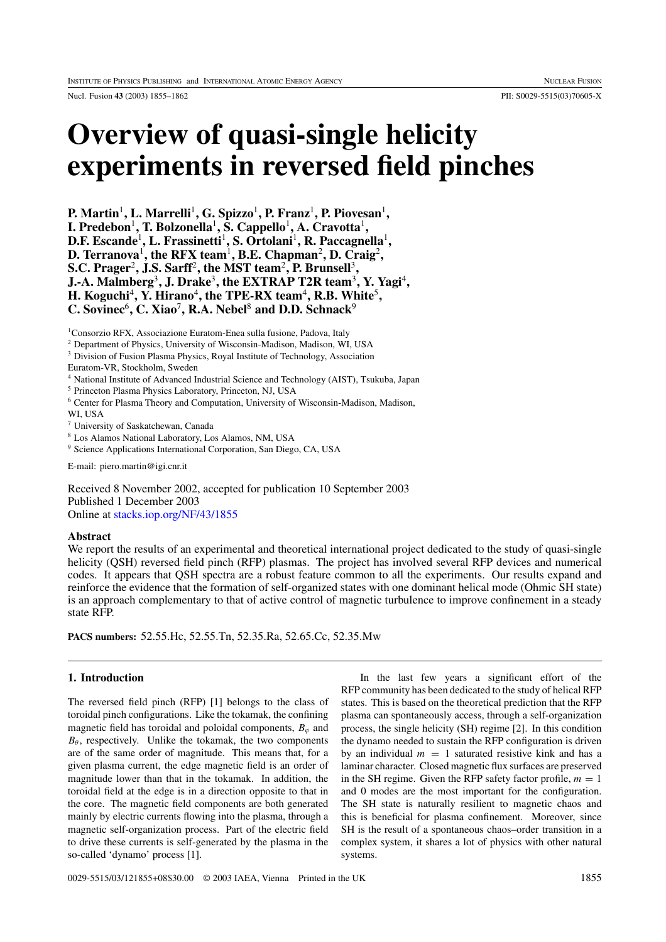Nucl. Fusion **43** (2003) 1855–1862 PII: S0029-5515(03)70605-X

# **Overview of quasi-single helicity experiments in reversed field pinches**

**P. Martin**<sup>1</sup>**, L. Marrelli**<sup>1</sup>**, G. Spizzo**<sup>1</sup>**, P. Franz**<sup>1</sup>**, P. Piovesan**<sup>1</sup>**, I. Predebon**<sup>1</sup>**, T. Bolzonella**<sup>1</sup>**, S. Cappello**<sup>1</sup>**, A. Cravotta**<sup>1</sup>**, D.F. Escande**<sup>1</sup>**, L. Frassinetti**<sup>1</sup>**, S. Ortolani**<sup>1</sup>**, R. Paccagnella**<sup>1</sup>**, D. Terranova**<sup>1</sup>**, the RFX team**<sup>1</sup>**, B.E. Chapman**<sup>2</sup>**, D. Craig**<sup>2</sup>**, S.C. Prager**<sup>2</sup>**, J.S. Sarff**<sup>2</sup>**, the MST team**<sup>2</sup>**, P. Brunsell**<sup>3</sup>**, J.-A. Malmberg**<sup>3</sup>**, J. Drake**<sup>3</sup>**, the EXTRAP T2R team**<sup>3</sup>**, Y. Yagi**<sup>4</sup>**, H. Koguchi**<sup>4</sup>**, Y. Hirano**<sup>4</sup>**, the TPE-RX team**<sup>4</sup>**, R.B. White**<sup>5</sup>**, C. Sovinec**<sup>6</sup>**, C. Xiao**<sup>7</sup>**, R.A. Nebel**<sup>8</sup> **and D.D. Schnack**<sup>9</sup>

<sup>1</sup>Consorzio RFX, Associazione Euratom-Enea sulla fusione, Padova, Italy

<sup>2</sup> Department of Physics, University of Wisconsin-Madison, Madison, WI, USA

<sup>3</sup> Division of Fusion Plasma Physics, Royal Institute of Technology, Association

Euratom-VR, Stockholm, Sweden

<sup>4</sup> National Institute of Advanced Industrial Science and Technology (AIST), Tsukuba, Japan

<sup>5</sup> Princeton Plasma Physics Laboratory, Princeton, NJ, USA

<sup>6</sup> Center for Plasma Theory and Computation, University of Wisconsin-Madison, Madison,

WI, USA

<sup>7</sup> University of Saskatchewan, Canada

- <sup>8</sup> Los Alamos National Laboratory, Los Alamos, NM, USA
- <sup>9</sup> Science Applications International Corporation, San Diego, CA, USA

E-mail: piero.martin@igi.cnr.it

Received 8 November 2002, accepted for publication 10 September 2003 Published 1 December 2003 Online at [stacks.iop.org/NF/43/1855](http://stacks.iop.org/nf/43/1855)

#### **Abstract**

We report the results of an experimental and theoretical international project dedicated to the study of quasi-single helicity (QSH) reversed field pinch (RFP) plasmas. The project has involved several RFP devices and numerical codes. It appears that QSH spectra are a robust feature common to all the experiments. Our results expand and reinforce the evidence that the formation of self-organized states with one dominant helical mode (Ohmic SH state) is an approach complementary to that of active control of magnetic turbulence to improve confinement in a steady state RFP.

**PACS numbers:** 52.55.Hc, 52.55.Tn, 52.35.Ra, 52.65.Cc, 52.35.Mw

## **1. Introduction**

The reversed field pinch (RFP) [1] belongs to the class of toroidal pinch configurations. Like the tokamak, the confining magnetic field has toroidal and poloidal components,  $B_{\varphi}$  and  $B_{\theta}$ , respectively. Unlike the tokamak, the two components are of the same order of magnitude. This means that, for a given plasma current, the edge magnetic field is an order of magnitude lower than that in the tokamak. In addition, the toroidal field at the edge is in a direction opposite to that in the core. The magnetic field components are both generated mainly by electric currents flowing into the plasma, through a magnetic self-organization process. Part of the electric field to drive these currents is self-generated by the plasma in the so-called 'dynamo' process [1].

In the last few years a significant effort of the RFP community has been dedicated to the study of helical RFP states. This is based on the theoretical prediction that the RFP plasma can spontaneously access, through a self-organization process, the single helicity (SH) regime [2]. In this condition the dynamo needed to sustain the RFP configuration is driven by an individual  $m = 1$  saturated resistive kink and has a laminar character. Closed magnetic flux surfaces are preserved in the SH regime. Given the RFP safety factor profile,  $m = 1$ and 0 modes are the most important for the configuration. The SH state is naturally resilient to magnetic chaos and this is beneficial for plasma confinement. Moreover, since SH is the result of a spontaneous chaos–order transition in a complex system, it shares a lot of physics with other natural systems.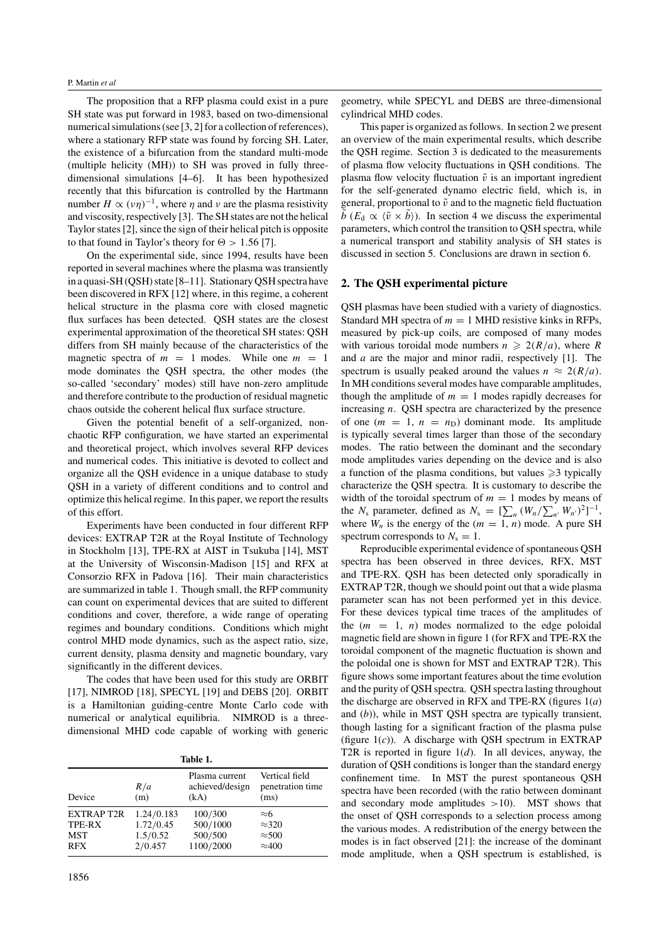#### P. Martin *et al*

The proposition that a RFP plasma could exist in a pure SH state was put forward in 1983, based on two-dimensional numerical simulations (see [3, 2] for a collection of references), where a stationary RFP state was found by forcing SH. Later, the existence of a bifurcation from the standard multi-mode (multiple helicity (MH)) to SH was proved in fully threedimensional simulations [4–6]. It has been hypothesized recently that this bifurcation is controlled by the Hartmann number  $H \propto (\nu \eta)^{-1}$ , where  $\eta$  and  $\nu$  are the plasma resistivity and viscosity, respectively [3]. The SH states are not the helical Taylor states [2], since the sign of their helical pitch is opposite to that found in Taylor's theory for  $\Theta > 1.56$  [7].

On the experimental side, since 1994, results have been reported in several machines where the plasma was transiently in a quasi-SH (QSH) state [8–11]. Stationary QSH spectra have been discovered in RFX [12] where, in this regime, a coherent helical structure in the plasma core with closed magnetic flux surfaces has been detected. QSH states are the closest experimental approximation of the theoretical SH states: QSH differs from SH mainly because of the characteristics of the magnetic spectra of  $m = 1$  modes. While one  $m = 1$ mode dominates the QSH spectra, the other modes (the so-called 'secondary' modes) still have non-zero amplitude and therefore contribute to the production of residual magnetic chaos outside the coherent helical flux surface structure.

Given the potential benefit of a self-organized, nonchaotic RFP configuration, we have started an experimental and theoretical project, which involves several RFP devices and numerical codes. This initiative is devoted to collect and organize all the QSH evidence in a unique database to study QSH in a variety of different conditions and to control and optimize this helical regime. In this paper, we report the results of this effort.

Experiments have been conducted in four different RFP devices: EXTRAP T2R at the Royal Institute of Technology in Stockholm [13], TPE-RX at AIST in Tsukuba [14], MST at the University of Wisconsin-Madison [15] and RFX at Consorzio RFX in Padova [16]. Their main characteristics are summarized in table 1. Though small, the RFP community can count on experimental devices that are suited to different conditions and cover, therefore, a wide range of operating regimes and boundary conditions. Conditions which might control MHD mode dynamics, such as the aspect ratio, size, current density, plasma density and magnetic boundary, vary significantly in the different devices.

The codes that have been used for this study are ORBIT [17], NIMROD [18], SPECYL [19] and DEBS [20]. ORBIT is a Hamiltonian guiding-centre Monte Carlo code with numerical or analytical equilibria. NIMROD is a threedimensional MHD code capable of working with generic

| ٠<br>п<br>н<br>۰.<br>۰.<br>×<br>٠<br>M. |  |
|-----------------------------------------|--|
|-----------------------------------------|--|

| Device            | R/a<br>(m) | Plasma current<br>achieved/design<br>(kA) | Vertical field<br>penetration time<br>(ms) |
|-------------------|------------|-------------------------------------------|--------------------------------------------|
| <b>EXTRAP T2R</b> | 1.24/0.183 | 100/300                                   | $\approx 6$                                |
| TPE-RX            | 1.72/0.45  | 500/1000                                  | $\approx 320$                              |
| <b>MST</b>        | 1.5/0.52   | 500/500                                   | $\approx 500$                              |
| <b>RFX</b>        | 2/0.457    | 1100/2000                                 | $\approx 400$                              |

geometry, while SPECYL and DEBS are three-dimensional cylindrical MHD codes.

This paper is organized as follows. In section 2 we present an overview of the main experimental results, which describe the QSH regime. Section 3 is dedicated to the measurements of plasma flow velocity fluctuations in QSH conditions. The plasma flow velocity fluctuation  $\tilde{v}$  is an important ingredient for the self-generated dynamo electric field, which is, in general, proportional to  $\tilde{v}$  and to the magnetic field fluctuation  $\tilde{b}$  (E<sub>d</sub>  $\propto \langle \tilde{v} \times \tilde{b} \rangle$ ). In section 4 we discuss the experimental parameters, which control the transition to QSH spectra, while a numerical transport and stability analysis of SH states is discussed in section 5. Conclusions are drawn in section 6.

## **2. The QSH experimental picture**

QSH plasmas have been studied with a variety of diagnostics. Standard MH spectra of  $m = 1$  MHD resistive kinks in RFPs, measured by pick-up coils, are composed of many modes with various toroidal mode numbers  $n \geq 2(R/a)$ , where R and a are the major and minor radii, respectively [1]. The spectrum is usually peaked around the values  $n \approx 2(R/a)$ . In MH conditions several modes have comparable amplitudes, though the amplitude of  $m = 1$  modes rapidly decreases for increasing n. QSH spectra are characterized by the presence of one  $(m = 1, n = n_D)$  dominant mode. Its amplitude is typically several times larger than those of the secondary modes. The ratio between the dominant and the secondary mode amplitudes varies depending on the device and is also a function of the plasma conditions, but values  $\geq 3$  typically characterize the QSH spectra. It is customary to describe the width of the toroidal spectrum of  $m = 1$  modes by means of the  $N_s$  parameter, defined as  $N_s = \left[\sum_n (W_n / \sum_{n'} W_{n'})^2\right]^{-1}$ , where  $W_n$  is the energy of the  $(m = 1, n)$  mode. A pure SH spectrum corresponds to  $N_s = 1$ .

Reproducible experimental evidence of spontaneous QSH spectra has been observed in three devices, RFX, MST and TPE-RX. QSH has been detected only sporadically in EXTRAP T2R, though we should point out that a wide plasma parameter scan has not been performed yet in this device. For these devices typical time traces of the amplitudes of the  $(m = 1, n)$  modes normalized to the edge poloidal magnetic field are shown in figure 1 (for RFX and TPE-RX the toroidal component of the magnetic fluctuation is shown and the poloidal one is shown for MST and EXTRAP T2R). This figure shows some important features about the time evolution and the purity of QSH spectra. QSH spectra lasting throughout the discharge are observed in RFX and TPE-RX (figures 1(*a*) and (*b*)), while in MST QSH spectra are typically transient, though lasting for a significant fraction of the plasma pulse (figure 1(*c*)). A discharge with QSH spectrum in EXTRAP T2R is reported in figure  $1(d)$ . In all devices, anyway, the duration of QSH conditions is longer than the standard energy confinement time. In MST the purest spontaneous QSH spectra have been recorded (with the ratio between dominant and secondary mode amplitudes  $>10$ ). MST shows that the onset of QSH corresponds to a selection process among the various modes. A redistribution of the energy between the modes is in fact observed [21]: the increase of the dominant mode amplitude, when a QSH spectrum is established, is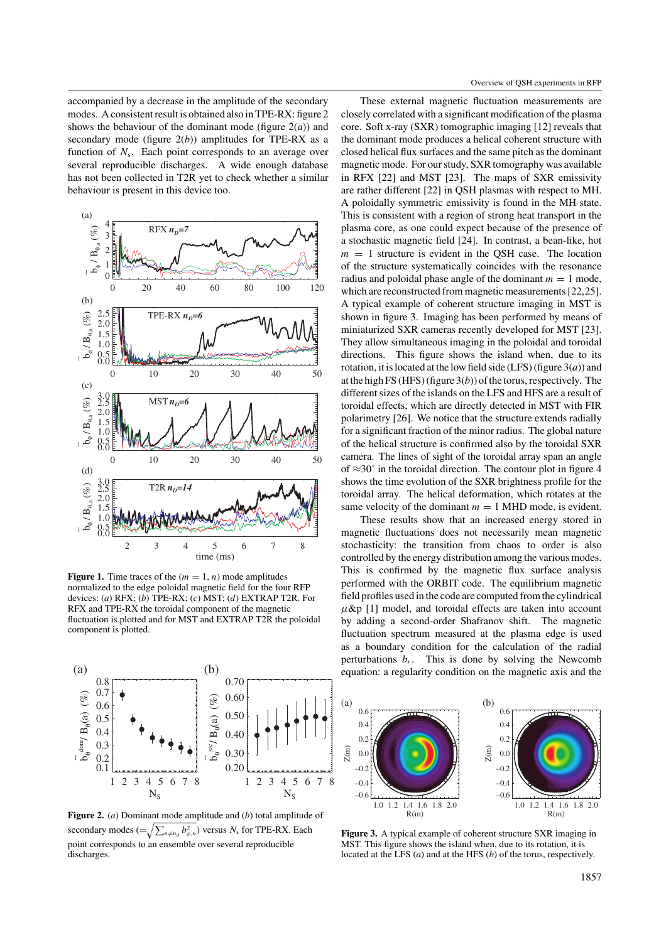accompanied by a decrease in the amplitude of the secondary modes. A consistent result is obtained also in TPE-RX: figure 2 shows the behaviour of the dominant mode (figure  $2(a)$ ) and secondary mode (figure  $2(b)$ ) amplitudes for TPE-RX as a function of  $N_s$ . Each point corresponds to an average over several reproducible discharges. A wide enough database has not been collected in T2R yet to check whether a similar behaviour is present in this device too.



**Figure 1.** Time traces of the  $(m = 1, n)$  mode amplitudes normalized to the edge poloidal magnetic field for the four RFP devices: (*a*) RFX; (*b*) TPE-RX; (*c*) MST; (*d*) EXTRAP T2R. For RFX and TPE-RX the toroidal component of the magnetic fluctuation is plotted and for MST and EXTRAP T2R the poloidal component is plotted.



**Figure 2.** (*a*) Dominant mode amplitude and (*b*) total amplitude of secondary modes  $(=\sqrt{\sum_{n\neq n_d} b_{\varphi,n}^2})$  versus  $N_s$  for TPE-RX. Each point corresponds to an ensemble over several reproducible discharges.

These external magnetic fluctuation measurements are closely correlated with a significant modification of the plasma core. Soft x-ray (SXR) tomographic imaging [12] reveals that the dominant mode produces a helical coherent structure with closed helical flux surfaces and the same pitch as the dominant magnetic mode. For our study, SXR tomography was available in RFX [22] and MST [23]. The maps of SXR emissivity are rather different [22] in QSH plasmas with respect to MH. A poloidally symmetric emissivity is found in the MH state. This is consistent with a region of strong heat transport in the plasma core, as one could expect because of the presence of a stochastic magnetic field [24]. In contrast, a bean-like, hot  $m = 1$  structure is evident in the OSH case. The location of the structure systematically coincides with the resonance radius and poloidal phase angle of the dominant  $m = 1$  mode, which are reconstructed from magnetic measurements [22,25]. A typical example of coherent structure imaging in MST is shown in figure 3. Imaging has been performed by means of miniaturized SXR cameras recently developed for MST [23]. They allow simultaneous imaging in the poloidal and toroidal directions. This figure shows the island when, due to its rotation, it is located at the low field side (LFS) (figure 3(*a*)) and at the high FS (HFS) (figure 3(*b*)) of the torus, respectively. The different sizes of the islands on the LFS and HFS are a result of toroidal effects, which are directly detected in MST with FIR polarimetry [26]. We notice that the structure extends radially for a significant fraction of the minor radius. The global nature of the helical structure is confirmed also by the toroidal SXR camera. The lines of sight of the toroidal array span an angle of  $\approx 30^\circ$  in the toroidal direction. The contour plot in figure 4 shows the time evolution of the SXR brightness profile for the toroidal array. The helical deformation, which rotates at the same velocity of the dominant  $m = 1$  MHD mode, is evident.

These results show that an increased energy stored in magnetic fluctuations does not necessarily mean magnetic stochasticity: the transition from chaos to order is also controlled by the energy distribution among the various modes. This is confirmed by the magnetic flux surface analysis performed with the ORBIT code. The equilibrium magnetic field profiles used in the code are computed from the cylindrical  $\mu$ &p [1] model, and toroidal effects are taken into account by adding a second-order Shafranov shift. The magnetic fluctuation spectrum measured at the plasma edge is used as a boundary condition for the calculation of the radial perturbations  $b_r$ . This is done by solving the Newcomb equation: a regularity condition on the magnetic axis and the



**Figure 3.** A typical example of coherent structure SXR imaging in MST. This figure shows the island when, due to its rotation, it is located at the LFS (*a*) and at the HFS (*b*) of the torus, respectively.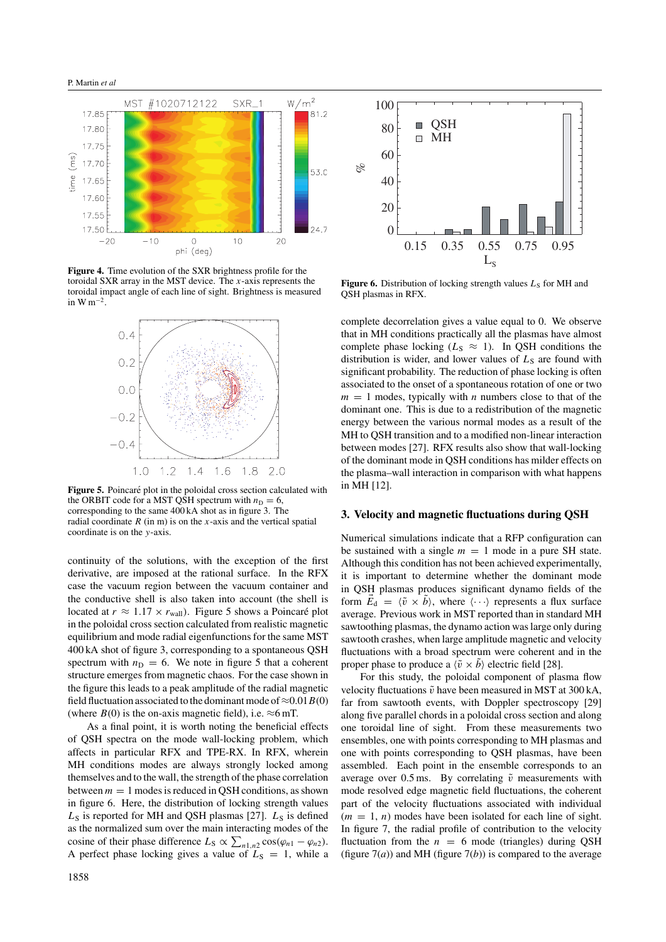

**Figure 4.** Time evolution of the SXR brightness profile for the toroidal SXR array in the MST device. The x-axis represents the toroidal impact angle of each line of sight. Brightness is measured in W m<sup> $-2$ </sup>.



**Figure 5.** Poincaré plot in the poloidal cross section calculated with the ORBIT code for a MST QSH spectrum with  $n_D = 6$ , corresponding to the same 400 kA shot as in figure 3. The radial coordinate  $R$  (in m) is on the x-axis and the vertical spatial coordinate is on the y-axis.

continuity of the solutions, with the exception of the first derivative, are imposed at the rational surface. In the RFX case the vacuum region between the vacuum container and the conductive shell is also taken into account (the shell is located at  $r \approx 1.17 \times r_{\text{wall}}$ . Figure 5 shows a Poincaré plot in the poloidal cross section calculated from realistic magnetic equilibrium and mode radial eigenfunctions for the same MST 400 kA shot of figure 3, corresponding to a spontaneous QSH spectrum with  $n_D = 6$ . We note in figure 5 that a coherent structure emerges from magnetic chaos. For the case shown in the figure this leads to a peak amplitude of the radial magnetic field fluctuation associated to the dominant mode of  $\approx 0.01B(0)$ (where  $B(0)$  is the on-axis magnetic field), i.e.  $\approx 6$  mT.

As a final point, it is worth noting the beneficial effects of QSH spectra on the mode wall-locking problem, which affects in particular RFX and TPE-RX. In RFX, wherein MH conditions modes are always strongly locked among themselves and to the wall, the strength of the phase correlation between  $m = 1$  modes is reduced in QSH conditions, as shown in figure 6. Here, the distribution of locking strength values  $L<sub>S</sub>$  is reported for MH and QSH plasmas [27].  $L<sub>S</sub>$  is defined as the normalized sum over the main interacting modes of the cosine of their phase difference  $L_S \propto \sum_{n1,n2} \cos(\varphi_{n1} - \varphi_{n2})$ . A perfect phase locking gives a value of  $L_s = 1$ , while a



**Figure 6.** Distribution of locking strength values  $L<sub>S</sub>$  for MH and QSH plasmas in RFX.

complete decorrelation gives a value equal to 0. We observe that in MH conditions practically all the plasmas have almost complete phase locking ( $L<sub>S</sub> \approx 1$ ). In QSH conditions the distribution is wider, and lower values of  $L<sub>S</sub>$  are found with significant probability. The reduction of phase locking is often associated to the onset of a spontaneous rotation of one or two  $m = 1$  modes, typically with *n* numbers close to that of the dominant one. This is due to a redistribution of the magnetic energy between the various normal modes as a result of the MH to QSH transition and to a modified non-linear interaction between modes [27]. RFX results also show that wall-locking of the dominant mode in QSH conditions has milder effects on the plasma–wall interaction in comparison with what happens in MH [12].

## **3. Velocity and magnetic fluctuations during QSH**

Numerical simulations indicate that a RFP configuration can be sustained with a single  $m = 1$  mode in a pure SH state. Although this condition has not been achieved experimentally, it is important to determine whether the dominant mode in QSH plasmas produces significant dynamo fields of the form  $\vec{E}_d = \langle \tilde{v} \times \tilde{b} \rangle$ , where  $\langle \cdots \rangle$  represents a flux surface average. Previous work in MST reported than in standard MH sawtoothing plasmas, the dynamo action was large only during sawtooth crashes, when large amplitude magnetic and velocity fluctuations with a broad spectrum were coherent and in the proper phase to produce a  $\langle \tilde{v} \times \tilde{b} \rangle$  electric field [28].

For this study, the poloidal component of plasma flow velocity fluctuations  $\tilde{v}$  have been measured in MST at 300 kA, far from sawtooth events, with Doppler spectroscopy [29] along five parallel chords in a poloidal cross section and along one toroidal line of sight. From these measurements two ensembles, one with points corresponding to MH plasmas and one with points corresponding to QSH plasmas, have been assembled. Each point in the ensemble corresponds to an average over 0.5 ms. By correlating  $\tilde{v}$  measurements with mode resolved edge magnetic field fluctuations, the coherent part of the velocity fluctuations associated with individual  $(m = 1, n)$  modes have been isolated for each line of sight. In figure 7, the radial profile of contribution to the velocity fluctuation from the  $n = 6$  mode (triangles) during OSH (figure  $7(a)$ ) and MH (figure  $7(b)$ ) is compared to the average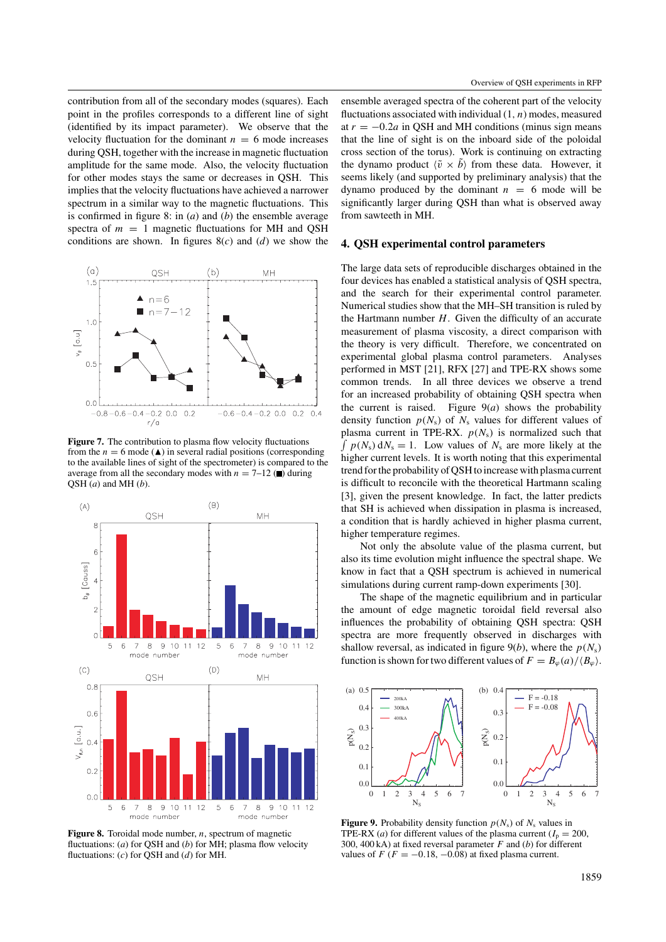contribution from all of the secondary modes (squares). Each point in the profiles corresponds to a different line of sight (identified by its impact parameter). We observe that the velocity fluctuation for the dominant  $n = 6$  mode increases during QSH, together with the increase in magnetic fluctuation amplitude for the same mode. Also, the velocity fluctuation for other modes stays the same or decreases in QSH. This implies that the velocity fluctuations have achieved a narrower spectrum in a similar way to the magnetic fluctuations. This is confirmed in figure 8: in (*a*) and (*b*) the ensemble average spectra of  $m = 1$  magnetic fluctuations for MH and OSH conditions are shown. In figures 8(*c*) and (*d*) we show the



Figure 7. The contribution to plasma flow velocity fluctuations from the  $n = 6$  mode ( $\triangle$ ) in several radial positions (corresponding to the available lines of sight of the spectrometer) is compared to the average from all the secondary modes with  $n = 7-12$  ( $\blacksquare$ ) during QSH (*a*) and MH (*b*).



**Figure 8.** Toroidal mode number, *n*, spectrum of magnetic fluctuations: (*a*) for QSH and (*b*) for MH; plasma flow velocity fluctuations: (*c*) for QSH and (*d*) for MH.

ensemble averaged spectra of the coherent part of the velocity fluctuations associated with individual  $(1, n)$  modes, measured at  $r = -0.2a$  in QSH and MH conditions (minus sign means that the line of sight is on the inboard side of the poloidal cross section of the torus). Work is continuing on extracting the dynamo product  $\langle \tilde{v} \times \tilde{b} \rangle$  from these data. However, it seems likely (and supported by preliminary analysis) that the dynamo produced by the dominant  $n = 6$  mode will be significantly larger during QSH than what is observed away from sawteeth in MH.

#### **4. QSH experimental control parameters**

The large data sets of reproducible discharges obtained in the four devices has enabled a statistical analysis of QSH spectra, and the search for their experimental control parameter. Numerical studies show that the MH–SH transition is ruled by the Hartmann number  $H$ . Given the difficulty of an accurate measurement of plasma viscosity, a direct comparison with the theory is very difficult. Therefore, we concentrated on experimental global plasma control parameters. Analyses performed in MST [21], RFX [27] and TPE-RX shows some common trends. In all three devices we observe a trend for an increased probability of obtaining QSH spectra when the current is raised. Figure  $9(a)$  shows the probability density function  $p(N_s)$  of  $N_s$  values for different values of plasma current in TPE-RX.  $p(N_s)$  is normalized such that  $\int p(N_s) dN_s = 1$ . Low values of  $N_s$  are more likely at the higher current levels. It is worth noting that this experimental trend for the probability of QSH to increase with plasma current is difficult to reconcile with the theoretical Hartmann scaling [3], given the present knowledge. In fact, the latter predicts that SH is achieved when dissipation in plasma is increased, a condition that is hardly achieved in higher plasma current, higher temperature regimes.

Not only the absolute value of the plasma current, but also its time evolution might influence the spectral shape. We know in fact that a QSH spectrum is achieved in numerical simulations during current ramp-down experiments [30].

The shape of the magnetic equilibrium and in particular the amount of edge magnetic toroidal field reversal also influences the probability of obtaining QSH spectra: QSH spectra are more frequently observed in discharges with shallow reversal, as indicated in figure  $9(b)$ , where the  $p(N<sub>s</sub>)$ function is shown for two different values of  $F = B_{\omega}(a)/\langle B_{\omega}\rangle$ .



**Figure 9.** Probability density function  $p(N_s)$  of  $N_s$  values in TPE-RX (*a*) for different values of the plasma current ( $I_p = 200$ , 300, 400 kA) at fixed reversal parameter F and (*b*) for different values of  $F (F = -0.18, -0.08)$  at fixed plasma current.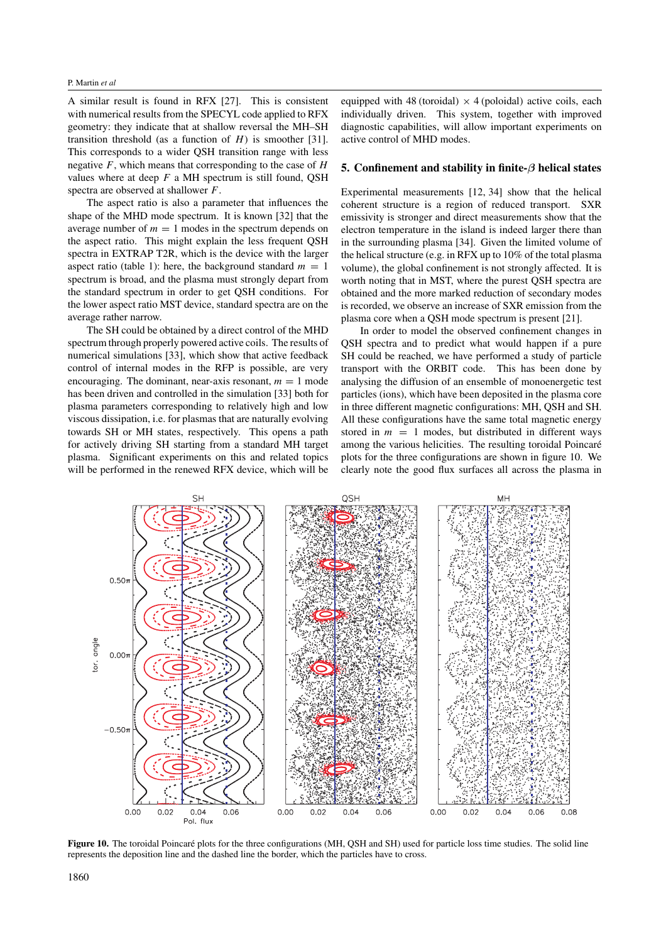A similar result is found in RFX [27]. This is consistent with numerical results from the SPECYL code applied to RFX geometry: they indicate that at shallow reversal the MH–SH transition threshold (as a function of  $H$ ) is smoother [31]. This corresponds to a wider QSH transition range with less negative  $F$ , which means that corresponding to the case of  $H$ values where at deep  $F$  a MH spectrum is still found, QSH spectra are observed at shallower F.

The aspect ratio is also a parameter that influences the shape of the MHD mode spectrum. It is known [32] that the average number of  $m = 1$  modes in the spectrum depends on the aspect ratio. This might explain the less frequent QSH spectra in EXTRAP T2R, which is the device with the larger aspect ratio (table 1): here, the background standard  $m = 1$ spectrum is broad, and the plasma must strongly depart from the standard spectrum in order to get QSH conditions. For the lower aspect ratio MST device, standard spectra are on the average rather narrow.

The SH could be obtained by a direct control of the MHD spectrum through properly powered active coils. The results of numerical simulations [33], which show that active feedback control of internal modes in the RFP is possible, are very encouraging. The dominant, near-axis resonant,  $m = 1$  mode has been driven and controlled in the simulation [33] both for plasma parameters corresponding to relatively high and low viscous dissipation, i.e. for plasmas that are naturally evolving towards SH or MH states, respectively. This opens a path for actively driving SH starting from a standard MH target plasma. Significant experiments on this and related topics will be performed in the renewed RFX device, which will be

equipped with 48 (toroidal)  $\times$  4 (poloidal) active coils, each individually driven. This system, together with improved diagnostic capabilities, will allow important experiments on active control of MHD modes.

#### **5. Confinement and stability in finite-***β* **helical states**

Experimental measurements [12, 34] show that the helical coherent structure is a region of reduced transport. SXR emissivity is stronger and direct measurements show that the electron temperature in the island is indeed larger there than in the surrounding plasma [34]. Given the limited volume of the helical structure (e.g. in RFX up to 10% of the total plasma volume), the global confinement is not strongly affected. It is worth noting that in MST, where the purest QSH spectra are obtained and the more marked reduction of secondary modes is recorded, we observe an increase of SXR emission from the plasma core when a QSH mode spectrum is present [21].

In order to model the observed confinement changes in QSH spectra and to predict what would happen if a pure SH could be reached, we have performed a study of particle transport with the ORBIT code. This has been done by analysing the diffusion of an ensemble of monoenergetic test particles (ions), which have been deposited in the plasma core in three different magnetic configurations: MH, QSH and SH. All these configurations have the same total magnetic energy stored in  $m = 1$  modes, but distributed in different ways among the various helicities. The resulting toroidal Poincaré plots for the three configurations are shown in figure 10. We clearly note the good flux surfaces all across the plasma in



Figure 10. The toroidal Poincaré plots for the three configurations (MH, QSH and SH) used for particle loss time studies. The solid line represents the deposition line and the dashed line the border, which the particles have to cross.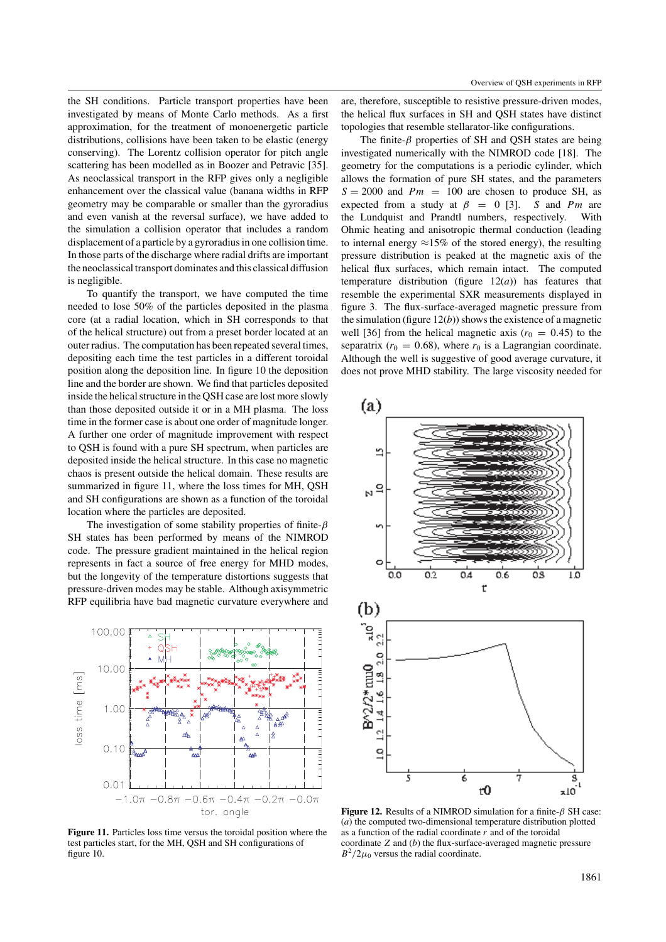the SH conditions. Particle transport properties have been investigated by means of Monte Carlo methods. As a first approximation, for the treatment of monoenergetic particle distributions, collisions have been taken to be elastic (energy conserving). The Lorentz collision operator for pitch angle scattering has been modelled as in Boozer and Petravic [35]. As neoclassical transport in the RFP gives only a negligible enhancement over the classical value (banana widths in RFP geometry may be comparable or smaller than the gyroradius and even vanish at the reversal surface), we have added to the simulation a collision operator that includes a random displacement of a particle by a gyroradius in one collision time. In those parts of the discharge where radial drifts are important the neoclassical transport dominates and this classical diffusion is negligible.

To quantify the transport, we have computed the time needed to lose 50% of the particles deposited in the plasma core (at a radial location, which in SH corresponds to that of the helical structure) out from a preset border located at an outer radius. The computation has been repeated several times, depositing each time the test particles in a different toroidal position along the deposition line. In figure 10 the deposition line and the border are shown. We find that particles deposited inside the helical structure in the QSH case are lost more slowly than those deposited outside it or in a MH plasma. The loss time in the former case is about one order of magnitude longer. A further one order of magnitude improvement with respect to QSH is found with a pure SH spectrum, when particles are deposited inside the helical structure. In this case no magnetic chaos is present outside the helical domain. These results are summarized in figure 11, where the loss times for MH, QSH and SH configurations are shown as a function of the toroidal location where the particles are deposited.

The investigation of some stability properties of finite- $\beta$ SH states has been performed by means of the NIMROD code. The pressure gradient maintained in the helical region represents in fact a source of free energy for MHD modes, but the longevity of the temperature distortions suggests that pressure-driven modes may be stable. Although axisymmetric RFP equilibria have bad magnetic curvature everywhere and



**Figure 11.** Particles loss time versus the toroidal position where the test particles start, for the MH, QSH and SH configurations of figure 10.

are, therefore, susceptible to resistive pressure-driven modes, the helical flux surfaces in SH and QSH states have distinct topologies that resemble stellarator-like configurations.

The finite- $\beta$  properties of SH and QSH states are being investigated numerically with the NIMROD code [18]. The geometry for the computations is a periodic cylinder, which allows the formation of pure SH states, and the parameters  $S = 2000$  and  $Pm = 100$  are chosen to produce SH, as expected from a study at  $\beta = 0$  [3]. S and Pm are the Lundouist and Prandtl numbers, respectively. With the Lundquist and Prandtl numbers, respectively. Ohmic heating and anisotropic thermal conduction (leading to internal energy  $\approx$ 15% of the stored energy), the resulting pressure distribution is peaked at the magnetic axis of the helical flux surfaces, which remain intact. The computed temperature distribution (figure  $12(a)$ ) has features that resemble the experimental SXR measurements displayed in figure 3. The flux-surface-averaged magnetic pressure from the simulation (figure  $12(b)$ ) shows the existence of a magnetic well [36] from the helical magnetic axis  $(r_0 = 0.45)$  to the separatrix ( $r_0 = 0.68$ ), where  $r_0$  is a Lagrangian coordinate. Although the well is suggestive of good average curvature, it does not prove MHD stability. The large viscosity needed for



**Figure 12.** Results of a NIMROD simulation for a finite- $\beta$  SH case: (*a*) the computed two-dimensional temperature distribution plotted as a function of the radial coordinate  $r$  and of the toroidal coordinate Z and (*b*) the flux-surface-averaged magnetic pressure  $B^2/2\mu_0$  versus the radial coordinate.